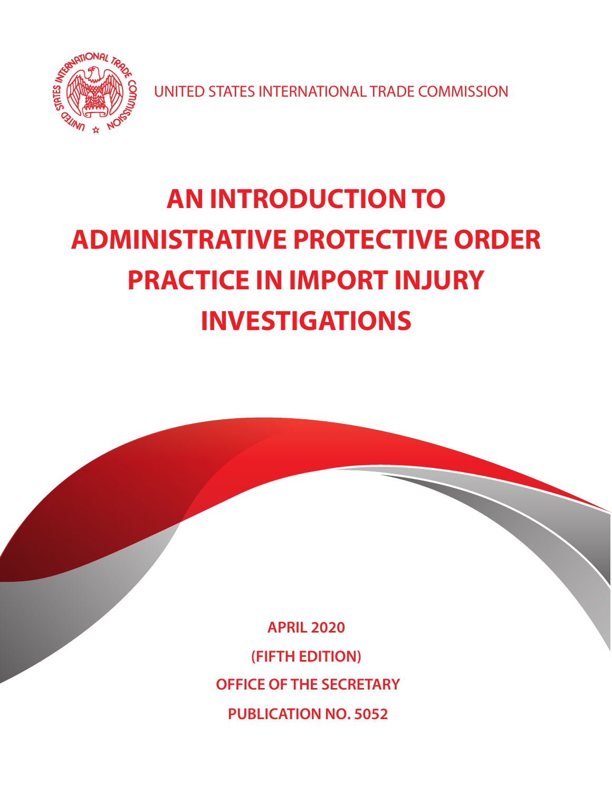

UNITED STATES INTERNATIONAL TRADE COMMISSION

# **AN INTRODUCTION TO ADMINISTRATIVE PROTECTIVE ORDER PRACTICE IN IMPORT INJURY INVESTIGATIONS**

**APRIL 2020 (FIFTH EDITION) OFFICE OF THE SECRETARY PUBLICATION NO. 5052**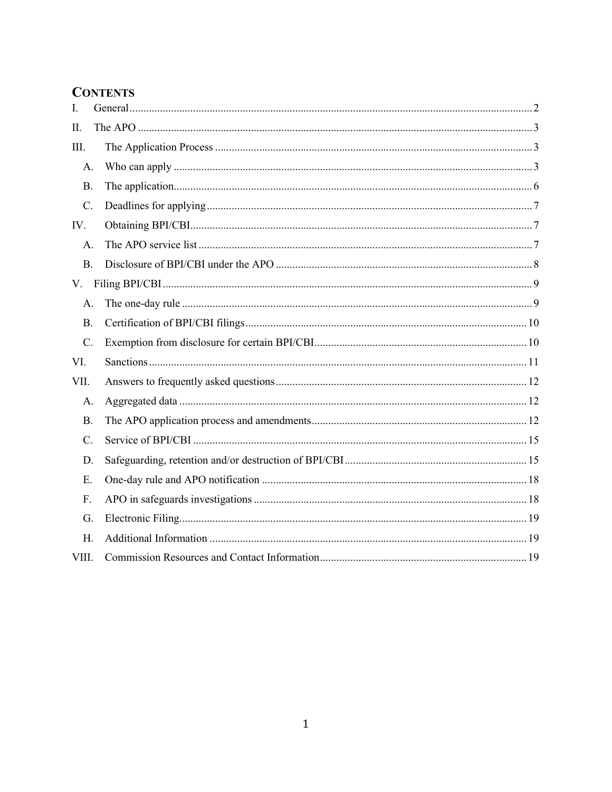# **CONTENTS**

| I.             |           |  |  |  |
|----------------|-----------|--|--|--|
| II.            |           |  |  |  |
| III.           |           |  |  |  |
| A.             |           |  |  |  |
| <b>B.</b>      |           |  |  |  |
| C.             |           |  |  |  |
| IV.            |           |  |  |  |
| A.             |           |  |  |  |
|                | <b>B.</b> |  |  |  |
| V.             |           |  |  |  |
| A.             |           |  |  |  |
| <b>B.</b>      |           |  |  |  |
| C.             |           |  |  |  |
| VI.            |           |  |  |  |
| VII.           |           |  |  |  |
| А.             |           |  |  |  |
| Β.             |           |  |  |  |
| $\mathbf{C}$ . |           |  |  |  |
| D.             |           |  |  |  |
| Ε.             |           |  |  |  |
| F.             |           |  |  |  |
| G.             |           |  |  |  |
| H.             |           |  |  |  |
| VIII.          |           |  |  |  |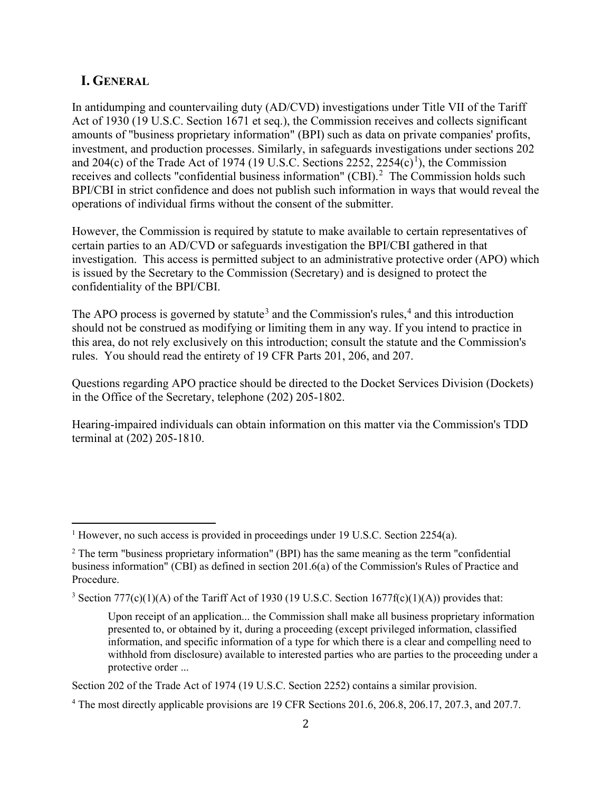#### <span id="page-2-0"></span>**I. GENERAL**

In antidumping and countervailing duty (AD/CVD) investigations under Title VII of the Tariff Act of 1930 (19 U.S.C. Section 1671 et seq.), the Commission receives and collects significant amounts of "business proprietary information" (BPI) such as data on private companies' profits, investment, and production processes. Similarly, in safeguards investigations under sections 202 and 204 $(c)$  of the Trade Act of [1](#page-2-1)974 (19 U.S.C. Sections 2252, 2254 $(c)$ <sup>1</sup>), the Commission receives and collects "confidential business information" (CBI). $^2$  $^2$  The Commission holds such BPI/CBI in strict confidence and does not publish such information in ways that would reveal the operations of individual firms without the consent of the submitter.

However, the Commission is required by statute to make available to certain representatives of certain parties to an AD/CVD or safeguards investigation the BPI/CBI gathered in that investigation. This access is permitted subject to an administrative protective order (APO) which is issued by the Secretary to the Commission (Secretary) and is designed to protect the confidentiality of the BPI/CBI.

The APO process is governed by statute<sup>[3](#page-2-3)</sup> and the Commission's rules,<sup>[4](#page-2-4)</sup> and this introduction should not be construed as modifying or limiting them in any way. If you intend to practice in this area, do not rely exclusively on this introduction; consult the statute and the Commission's rules. You should read the entirety of 19 CFR Parts 201, 206, and 207.

Questions regarding APO practice should be directed to the Docket Services Division (Dockets) in the Office of the Secretary, telephone (202) 205-1802.

Hearing-impaired individuals can obtain information on this matter via the Commission's TDD terminal at (202) 205-1810.

<span id="page-2-1"></span><sup>&</sup>lt;sup>1</sup> However, no such access is provided in proceedings under 19 U.S.C. Section 2254(a).

<span id="page-2-2"></span> $2$  The term "business proprietary information" (BPI) has the same meaning as the term "confidential" business information" (CBI) as defined in section 201.6(a) of the Commission's Rules of Practice and Procedure.

<span id="page-2-3"></span><sup>&</sup>lt;sup>3</sup> Section 777(c)(1)(A) of the Tariff Act of 1930 (19 U.S.C. Section 1677f(c)(1)(A)) provides that:

Upon receipt of an application... the Commission shall make all business proprietary information presented to, or obtained by it, during a proceeding (except privileged information, classified information, and specific information of a type for which there is a clear and compelling need to withhold from disclosure) available to interested parties who are parties to the proceeding under a protective order ...

Section 202 of the Trade Act of 1974 (19 U.S.C. Section 2252) contains a similar provision.

<span id="page-2-4"></span><sup>4</sup> The most directly applicable provisions are 19 CFR Sections 201.6, 206.8, 206.17, 207.3, and 207.7.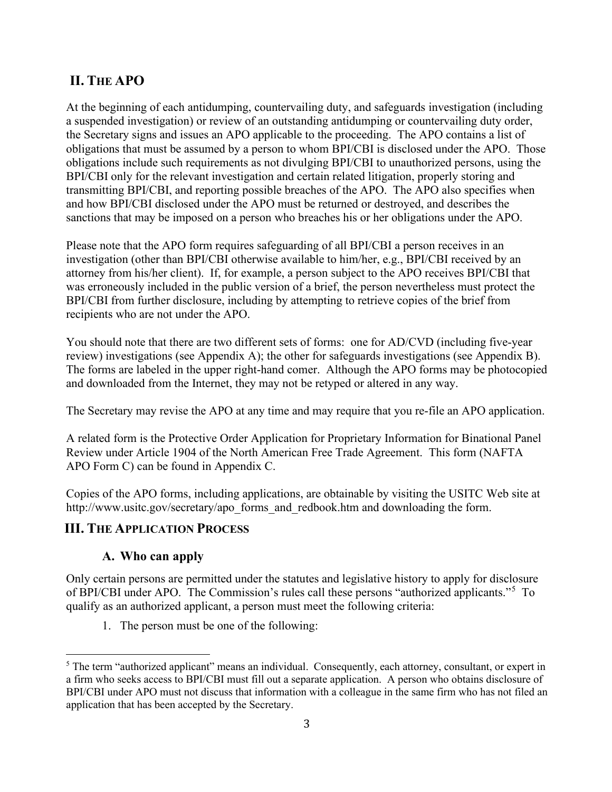# <span id="page-3-0"></span>**II. THE APO**

At the beginning of each antidumping, countervailing duty, and safeguards investigation (including a suspended investigation) or review of an outstanding antidumping or countervailing duty order, the Secretary signs and issues an APO applicable to the proceeding. The APO contains a list of obligations that must be assumed by a person to whom BPI/CBI is disclosed under the APO. Those obligations include such requirements as not divulging BPI/CBI to unauthorized persons, using the BPI/CBI only for the relevant investigation and certain related litigation, properly storing and transmitting BPI/CBI, and reporting possible breaches of the APO. The APO also specifies when and how BPI/CBI disclosed under the APO must be returned or destroyed, and describes the sanctions that may be imposed on a person who breaches his or her obligations under the APO.

Please note that the APO form requires safeguarding of all BPI/CBI a person receives in an investigation (other than BPI/CBI otherwise available to him/her, e.g., BPI/CBI received by an attorney from his/her client). If, for example, a person subject to the APO receives BPI/CBI that was erroneously included in the public version of a brief, the person nevertheless must protect the BPI/CBI from further disclosure, including by attempting to retrieve copies of the brief from recipients who are not under the APO.

You should note that there are two different sets of forms: one for AD/CVD (including five-year review) investigations (see Appendix A); the other for safeguards investigations (see Appendix B). The forms are labeled in the upper right-hand comer. Although the APO forms may be photocopied and downloaded from the Internet, they may not be retyped or altered in any way.

The Secretary may revise the APO at any time and may require that you re-file an APO application.

A related form is the Protective Order Application for Proprietary Information for Binational Panel Review under Article 1904 of the North American Free Trade Agreement. This form (NAFTA APO Form C) can be found in Appendix C.

Copies of the APO forms, including applications, are obtainable by visiting the USITC Web site at [http://www.usitc.gov/secretary/apo\\_forms\\_and\\_redbook.htm](http://www.usitc.gov/secretary/apo_forms_and_redbook.htm) and downloading the form.

## <span id="page-3-1"></span>**III. THE APPLICATION PROCESS**

## **A. Who can apply**

<span id="page-3-2"></span>Only certain persons are permitted under the statutes and legislative history to apply for disclosure of BPI/CBI under APO. The Commission's rules call these persons "authorized applicants."<sup>[5](#page-3-3)</sup> To qualify as an authorized applicant, a person must meet the following criteria:

1. The person must be one of the following:

<span id="page-3-3"></span><sup>&</sup>lt;sup>5</sup> The term "authorized applicant" means an individual. Consequently, each attorney, consultant, or expert in a firm who seeks access to BPI/CBI must fill out a separate application. A person who obtains disclosure of BPI/CBI under APO must not discuss that information with a colleague in the same firm who has not filed an application that has been accepted by the Secretary.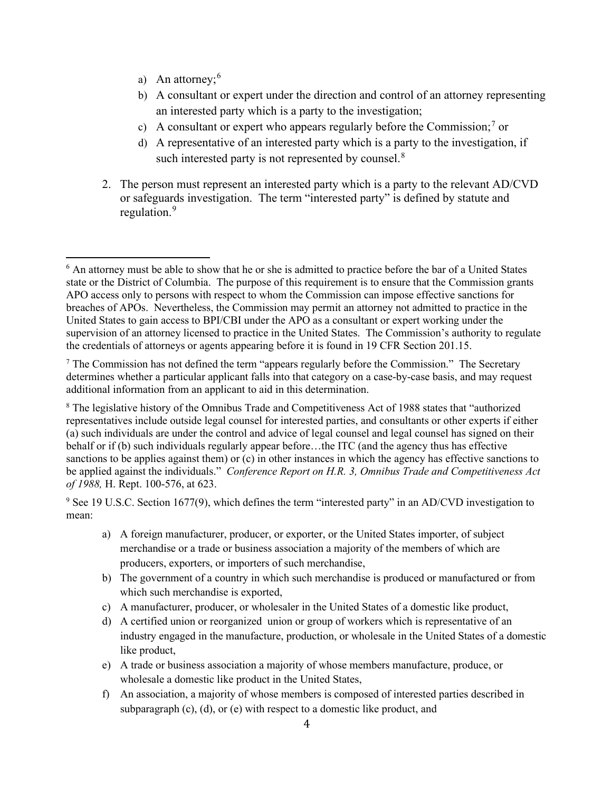- a) An attorney;  $6 \times 6$  $6 \times 6$
- b) A consultant or expert under the direction and control of an attorney representing an interested party which is a party to the investigation;
- c) A consultant or expert who appears regularly before the Commission;<sup>[7](#page-4-1)</sup> or
- d) A representative of an interested party which is a party to the investigation, if such interested party is not represented by counsel.<sup>[8](#page-4-2)</sup>
- 2. The person must represent an interested party which is a party to the relevant AD/CVD or safeguards investigation. The term "interested party" is defined by statute and regulation.<sup>[9](#page-4-3)</sup>

- a) A foreign manufacturer, producer, or exporter, or the United States importer, of subject merchandise or a trade or business association a majority of the members of which are producers, exporters, or importers of such merchandise,
- b) The government of a country in which such merchandise is produced or manufactured or from which such merchandise is exported,
- c) A manufacturer, producer, or wholesaler in the United States of a domestic like product,
- d) A certified union or reorganized union or group of workers which is representative of an industry engaged in the manufacture, production, or wholesale in the United States of a domestic like product,
- e) A trade or business association a majority of whose members manufacture, produce, or wholesale a domestic like product in the United States,
- f) An association, a majority of whose members is composed of interested parties described in subparagraph (c), (d), or (e) with respect to a domestic like product, and

<span id="page-4-0"></span><sup>&</sup>lt;sup>6</sup> An attorney must be able to show that he or she is admitted to practice before the bar of a United States state or the District of Columbia. The purpose of this requirement is to ensure that the Commission grants APO access only to persons with respect to whom the Commission can impose effective sanctions for breaches of APOs. Nevertheless, the Commission may permit an attorney not admitted to practice in the United States to gain access to BPI/CBI under the APO as a consultant or expert working under the supervision of an attorney licensed to practice in the United States. The Commission's authority to regulate the credentials of attorneys or agents appearing before it is found in 19 CFR Section 201.15.

<span id="page-4-1"></span> $<sup>7</sup>$  The Commission has not defined the term "appears regularly before the Commission." The Secretary</sup> determines whether a particular applicant falls into that category on a case-by-case basis, and may request additional information from an applicant to aid in this determination.

<span id="page-4-2"></span><sup>8</sup> The legislative history of the Omnibus Trade and Competitiveness Act of 1988 states that "authorized representatives include outside legal counsel for interested parties, and consultants or other experts if either (a) such individuals are under the control and advice of legal counsel and legal counsel has signed on their behalf or if (b) such individuals regularly appear before…the ITC (and the agency thus has effective sanctions to be applies against them) or (c) in other instances in which the agency has effective sanctions to be applied against the individuals." *Conference Report on H.R. 3, Omnibus Trade and Competitiveness Act of 1988,* H. Rept. 100-576, at 623.

<span id="page-4-3"></span><sup>9</sup> See 19 U.S.C. Section 1677(9), which defines the term "interested party" in an AD/CVD investigation to mean: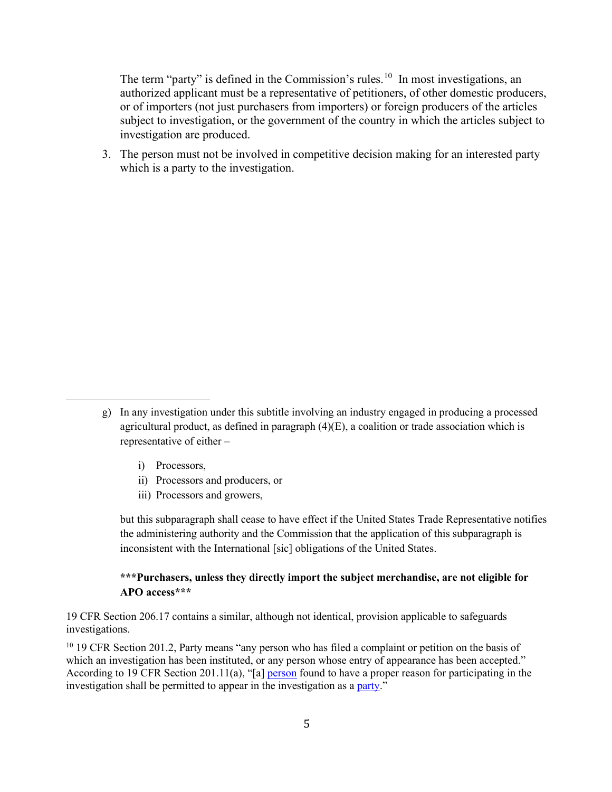The term "party" is defined in the Commission's rules.<sup>10</sup> In most investigations, an authorized applicant must be a representative of petitioners, of other domestic producers, or of importers (not just purchasers from importers) or foreign producers of the articles subject to investigation, or the government of the country in which the articles subject to investigation are produced.

3. The person must not be involved in competitive decision making for an interested party which is a party to the investigation.

- i) Processors,
- ii) Processors and producers, or
- iii) Processors and growers,

but this subparagraph shall cease to have effect if the United States Trade Representative notifies the administering authority and the Commission that the application of this subparagraph is inconsistent with the International [sic] obligations of the United States.

#### **\*\*\*Purchasers, unless they directly import the subject merchandise, are not eligible for APO access\*\*\***

19 CFR Section 206.17 contains a similar, although not identical, provision applicable to safeguards investigations.

<span id="page-5-0"></span><sup>10</sup> 19 CFR Section 201.2, Party means "any person who has filed a complaint or petition on the basis of which an investigation has been instituted, or any person whose entry of appearance has been accepted." According to 19 CFR Section 201.11(a), "[a] [person](https://www.law.cornell.edu/definitions/index.php?width=840&height=800&iframe=true&def_id=9e5d45be892e49ebacf3cea779c90b88&term_occur=8&term_src=Title:19:Chapter:II:Subchapter:A:Part:201:Subpart:B:201.11) found to have a proper reason for participating in the investigation shall be permitted to appear in the investigation as a [party.](https://www.law.cornell.edu/definitions/index.php?width=840&height=800&iframe=true&def_id=b8867edf8f39a1c34c89aeba97077784&term_occur=4&term_src=Title:19:Chapter:II:Subchapter:A:Part:201:Subpart:B:201.11)"

g) In any investigation under this subtitle involving an industry engaged in producing a processed agricultural product, as defined in paragraph  $(4)(E)$ , a coalition or trade association which is representative of either –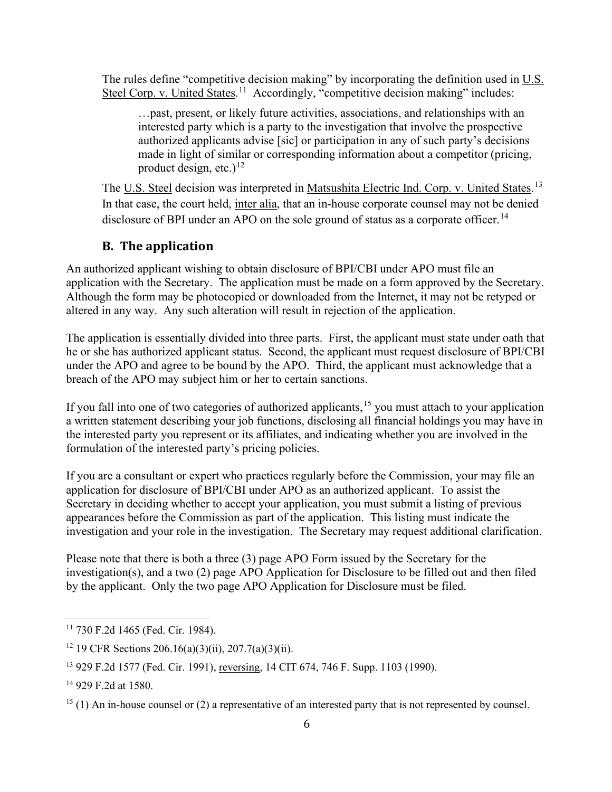The rules define "competitive decision making" by incorporating the definition used in  $U.S.$ Steel Corp. v. United States.<sup>[11](#page-6-1)</sup> Accordingly, "competitive decision making" includes:

…past, present, or likely future activities, associations, and relationships with an interested party which is a party to the investigation that involve the prospective authorized applicants advise [sic] or participation in any of such party's decisions made in light of similar or corresponding information about a competitor (pricing, product design, etc.)<sup>[12](#page-6-2)</sup>

The U.S. Steel decision was interpreted in Matsushita Electric Ind. Corp. v. United States.<sup>[13](#page-6-3)</sup> In that case, the court held, inter alia, that an in-house corporate counsel may not be denied disclosure of BPI under an APO on the sole ground of status as a corporate officer.<sup>[14](#page-6-4)</sup>

## **B. The application**

<span id="page-6-0"></span>An authorized applicant wishing to obtain disclosure of BPI/CBI under APO must file an application with the Secretary. The application must be made on a form approved by the Secretary. Although the form may be photocopied or downloaded from the Internet, it may not be retyped or altered in any way. Any such alteration will result in rejection of the application.

The application is essentially divided into three parts. First, the applicant must state under oath that he or she has authorized applicant status. Second, the applicant must request disclosure of BPI/CBI under the APO and agree to be bound by the APO. Third, the applicant must acknowledge that a breach of the APO may subject him or her to certain sanctions.

If you fall into one of two categories of authorized applicants,<sup>[15](#page-6-5)</sup> you must attach to your application a written statement describing your job functions, disclosing all financial holdings you may have in the interested party you represent or its affiliates, and indicating whether you are involved in the formulation of the interested party's pricing policies.

If you are a consultant or expert who practices regularly before the Commission, your may file an application for disclosure of BPI/CBI under APO as an authorized applicant. To assist the Secretary in deciding whether to accept your application, you must submit a listing of previous appearances before the Commission as part of the application. This listing must indicate the investigation and your role in the investigation. The Secretary may request additional clarification.

Please note that there is both a three (3) page APO Form issued by the Secretary for the investigation(s), and a two (2) page APO Application for Disclosure to be filled out and then filed by the applicant. Only the two page APO Application for Disclosure must be filed.

<span id="page-6-1"></span><sup>11</sup> 730 F.2d 1465 (Fed. Cir. 1984).

<span id="page-6-2"></span><sup>&</sup>lt;sup>12</sup> 19 CFR Sections 206.16(a)(3)(ii), 207.7(a)(3)(ii).

<span id="page-6-3"></span><sup>13</sup> 929 F.2d 1577 (Fed. Cir. 1991), reversing, 14 CIT 674, 746 F. Supp. 1103 (1990).

<span id="page-6-4"></span><sup>14</sup> 929 F.2d at 1580.

<span id="page-6-5"></span> $15$  (1) An in-house counsel or (2) a representative of an interested party that is not represented by counsel.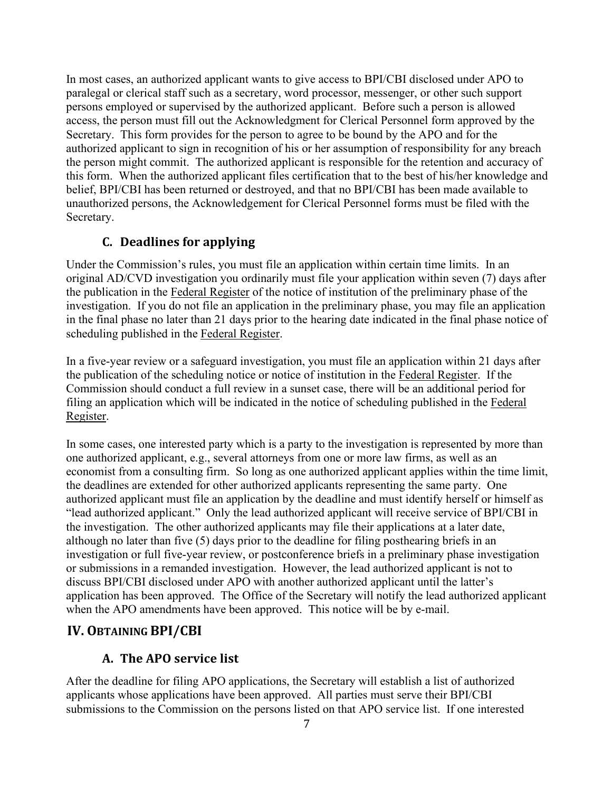In most cases, an authorized applicant wants to give access to BPI/CBI disclosed under APO to paralegal or clerical staff such as a secretary, word processor, messenger, or other such support persons employed or supervised by the authorized applicant. Before such a person is allowed access, the person must fill out the Acknowledgment for Clerical Personnel form approved by the Secretary. This form provides for the person to agree to be bound by the APO and for the authorized applicant to sign in recognition of his or her assumption of responsibility for any breach the person might commit. The authorized applicant is responsible for the retention and accuracy of this form. When the authorized applicant files certification that to the best of his/her knowledge and belief, BPI/CBI has been returned or destroyed, and that no BPI/CBI has been made available to unauthorized persons, the Acknowledgement for Clerical Personnel forms must be filed with the Secretary.

## **C. Deadlines for applying**

<span id="page-7-0"></span>Under the Commission's rules, you must file an application within certain time limits. In an original AD/CVD investigation you ordinarily must file your application within seven (7) days after the publication in the Federal Register of the notice of institution of the preliminary phase of the investigation. If you do not file an application in the preliminary phase, you may file an application in the final phase no later than 21 days prior to the hearing date indicated in the final phase notice of scheduling published in the Federal Register.

In a five-year review or a safeguard investigation, you must file an application within 21 days after the publication of the scheduling notice or notice of institution in the Federal Register. If the Commission should conduct a full review in a sunset case, there will be an additional period for filing an application which will be indicated in the notice of scheduling published in the Federal Register.

In some cases, one interested party which is a party to the investigation is represented by more than one authorized applicant, e.g., several attorneys from one or more law firms, as well as an economist from a consulting firm. So long as one authorized applicant applies within the time limit, the deadlines are extended for other authorized applicants representing the same party. One authorized applicant must file an application by the deadline and must identify herself or himself as "lead authorized applicant." Only the lead authorized applicant will receive service of BPI/CBI in the investigation. The other authorized applicants may file their applications at a later date, although no later than five (5) days prior to the deadline for filing posthearing briefs in an investigation or full five-year review, or postconference briefs in a preliminary phase investigation or submissions in a remanded investigation. However, the lead authorized applicant is not to discuss BPI/CBI disclosed under APO with another authorized applicant until the latter's application has been approved. The Office of the Secretary will notify the lead authorized applicant when the APO amendments have been approved. This notice will be by e-mail.

## <span id="page-7-1"></span>**IV. OBTAINING BPI/CBI**

## **A. The APO service list**

<span id="page-7-2"></span>After the deadline for filing APO applications, the Secretary will establish a list of authorized applicants whose applications have been approved. All parties must serve their BPI/CBI submissions to the Commission on the persons listed on that APO service list. If one interested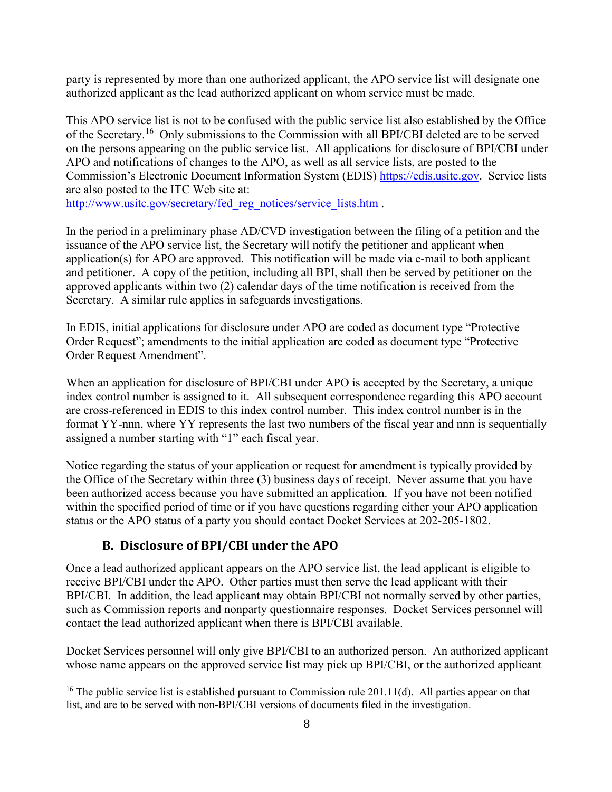party is represented by more than one authorized applicant, the APO service list will designate one authorized applicant as the lead authorized applicant on whom service must be made.

This APO service list is not to be confused with the public service list also established by the Office of the Secretary.[16](#page-8-1) Only submissions to the Commission with all BPI/CBI deleted are to be served on the persons appearing on the public service list. All applications for disclosure of BPI/CBI under APO and notifications of changes to the APO, as well as all service lists, are posted to the Commission's Electronic Document Information System (EDIS) [https://edis.usitc.gov.](https://edis.usitc.gov/) Service lists are also posted to the ITC Web site at:

[http://www.usitc.gov/secretary/fed\\_reg\\_notices/service\\_lists.htm](http://www.usitc.gov/secretary/fed_reg_notices/service_lists.htm) .

In the period in a preliminary phase AD/CVD investigation between the filing of a petition and the issuance of the APO service list, the Secretary will notify the petitioner and applicant when application(s) for APO are approved. This notification will be made via e-mail to both applicant and petitioner. A copy of the petition, including all BPI, shall then be served by petitioner on the approved applicants within two (2) calendar days of the time notification is received from the Secretary. A similar rule applies in safeguards investigations.

In EDIS, initial applications for disclosure under APO are coded as document type "Protective Order Request"; amendments to the initial application are coded as document type "Protective Order Request Amendment".

When an application for disclosure of BPI/CBI under APO is accepted by the Secretary, a unique index control number is assigned to it. All subsequent correspondence regarding this APO account are cross-referenced in EDIS to this index control number. This index control number is in the format YY-nnn, where YY represents the last two numbers of the fiscal year and nnn is sequentially assigned a number starting with "1" each fiscal year.

Notice regarding the status of your application or request for amendment is typically provided by the Office of the Secretary within three (3) business days of receipt. Never assume that you have been authorized access because you have submitted an application. If you have not been notified within the specified period of time or if you have questions regarding either your APO application status or the APO status of a party you should contact Docket Services at 202-205-1802.

## **B. Disclosure of BPI/CBI under the APO**

<span id="page-8-0"></span>Once a lead authorized applicant appears on the APO service list, the lead applicant is eligible to receive BPI/CBI under the APO. Other parties must then serve the lead applicant with their BPI/CBI. In addition, the lead applicant may obtain BPI/CBI not normally served by other parties, such as Commission reports and nonparty questionnaire responses. Docket Services personnel will contact the lead authorized applicant when there is BPI/CBI available.

Docket Services personnel will only give BPI/CBI to an authorized person. An authorized applicant whose name appears on the approved service list may pick up BPI/CBI, or the authorized applicant

<span id="page-8-1"></span><sup>&</sup>lt;sup>16</sup> The public service list is established pursuant to Commission rule 201.11(d). All parties appear on that list, and are to be served with non-BPI/CBI versions of documents filed in the investigation.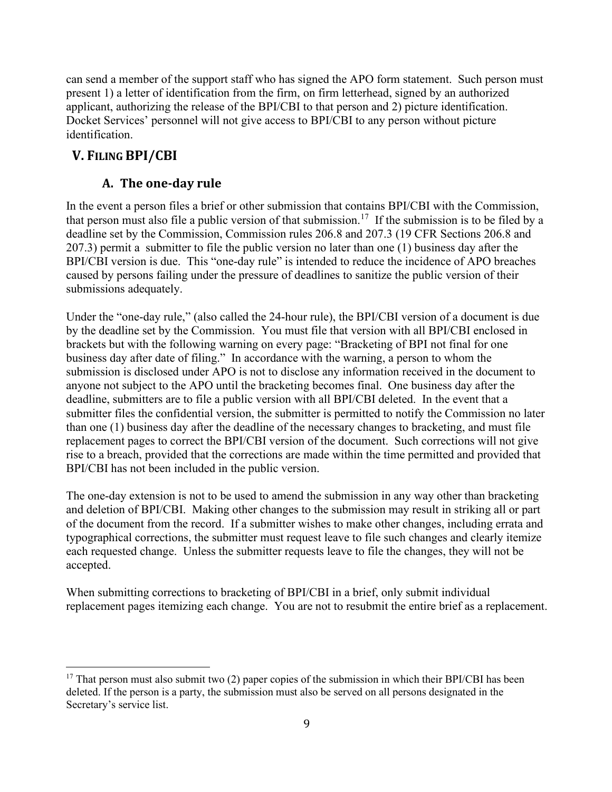can send a member of the support staff who has signed the APO form statement. Such person must present 1) a letter of identification from the firm, on firm letterhead, signed by an authorized applicant, authorizing the release of the BPI/CBI to that person and 2) picture identification. Docket Services' personnel will not give access to BPI/CBI to any person without picture identification.

# <span id="page-9-0"></span>**V. FILING BPI/CBI**

## **A. The one-day rule**

<span id="page-9-1"></span>In the event a person files a brief or other submission that contains BPI/CBI with the Commission, that person must also file a public version of that submission.<sup>[17](#page-9-2)</sup> If the submission is to be filed by a deadline set by the Commission, Commission rules 206.8 and 207.3 (19 CFR Sections 206.8 and 207.3) permit a submitter to file the public version no later than one (1) business day after the BPI/CBI version is due. This "one-day rule" is intended to reduce the incidence of APO breaches caused by persons failing under the pressure of deadlines to sanitize the public version of their submissions adequately.

Under the "one-day rule," (also called the 24-hour rule), the BPI/CBI version of a document is due by the deadline set by the Commission. You must file that version with all BPI/CBI enclosed in brackets but with the following warning on every page: "Bracketing of BPI not final for one business day after date of filing." In accordance with the warning, a person to whom the submission is disclosed under APO is not to disclose any information received in the document to anyone not subject to the APO until the bracketing becomes final. One business day after the deadline, submitters are to file a public version with all BPI/CBI deleted. In the event that a submitter files the confidential version, the submitter is permitted to notify the Commission no later than one (1) business day after the deadline of the necessary changes to bracketing, and must file replacement pages to correct the BPI/CBI version of the document. Such corrections will not give rise to a breach, provided that the corrections are made within the time permitted and provided that BPI/CBI has not been included in the public version.

The one-day extension is not to be used to amend the submission in any way other than bracketing and deletion of BPI/CBI. Making other changes to the submission may result in striking all or part of the document from the record. If a submitter wishes to make other changes, including errata and typographical corrections, the submitter must request leave to file such changes and clearly itemize each requested change. Unless the submitter requests leave to file the changes, they will not be accepted.

When submitting corrections to bracketing of BPI/CBI in a brief, only submit individual replacement pages itemizing each change. You are not to resubmit the entire brief as a replacement.

<span id="page-9-2"></span><sup>&</sup>lt;sup>17</sup> That person must also submit two (2) paper copies of the submission in which their BPI/CBI has been deleted. If the person is a party, the submission must also be served on all persons designated in the Secretary's service list.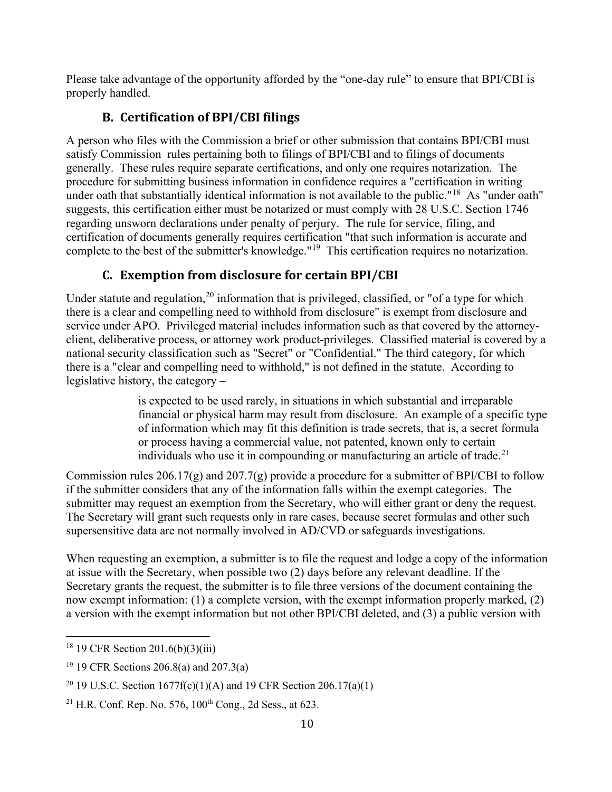Please take advantage of the opportunity afforded by the "one-day rule" to ensure that BPI/CBI is properly handled.

# **B. Certification of BPI/CBI filings**

<span id="page-10-0"></span>A person who files with the Commission a brief or other submission that contains BPI/CBI must satisfy Commission rules pertaining both to filings of BPI/CBI and to filings of documents generally. These rules require separate certifications, and only one requires notarization. The procedure for submitting business information in confidence requires a "certification in writing under oath that substantially identical information is not available to the public."<sup>18</sup> As "under oath" suggests, this certification either must be notarized or must comply with 28 U.S.C. Section 1746 regarding unsworn declarations under penalty of perjury. The rule for service, filing, and certification of documents generally requires certification "that such information is accurate and complete to the best of the submitter's knowledge."<sup>19</sup> This certification requires no notarization.

# **C. Exemption from disclosure for certain BPI/CBI**

<span id="page-10-1"></span>Under statute and regulation,  $20$  information that is privileged, classified, or "of a type for which there is a clear and compelling need to withhold from disclosure" is exempt from disclosure and service under APO. Privileged material includes information such as that covered by the attorneyclient, deliberative process, or attorney work product-privileges. Classified material is covered by a national security classification such as "Secret" or "Confidential." The third category, for which there is a "clear and compelling need to withhold," is not defined in the statute. According to legislative history, the category –

> is expected to be used rarely, in situations in which substantial and irreparable financial or physical harm may result from disclosure. An example of a specific type of information which may fit this definition is trade secrets, that is, a secret formula or process having a commercial value, not patented, known only to certain individuals who use it in compounding or manufacturing an article of trade.<sup>[21](#page-10-5)</sup>

Commission rules 206.17(g) and 207.7(g) provide a procedure for a submitter of BPI/CBI to follow if the submitter considers that any of the information falls within the exempt categories. The submitter may request an exemption from the Secretary, who will either grant or deny the request. The Secretary will grant such requests only in rare cases, because secret formulas and other such supersensitive data are not normally involved in AD/CVD or safeguards investigations.

When requesting an exemption, a submitter is to file the request and lodge a copy of the information at issue with the Secretary, when possible two (2) days before any relevant deadline. If the Secretary grants the request, the submitter is to file three versions of the document containing the now exempt information: (1) a complete version, with the exempt information properly marked, (2) a version with the exempt information but not other BPI/CBI deleted, and (3) a public version with

<span id="page-10-2"></span> $18$  19 CFR Section 201.6(b)(3)(iii)

<span id="page-10-3"></span><sup>19 19</sup> CFR Sections 206.8(a) and 207.3(a)

<span id="page-10-4"></span><sup>&</sup>lt;sup>20</sup> 19 U.S.C. Section  $1677f(c)(1)(A)$  and 19 CFR Section 206.17(a)(1)

<span id="page-10-5"></span><sup>&</sup>lt;sup>21</sup> H.R. Conf. Rep. No. 576,  $100^{th}$  Cong., 2d Sess., at 623.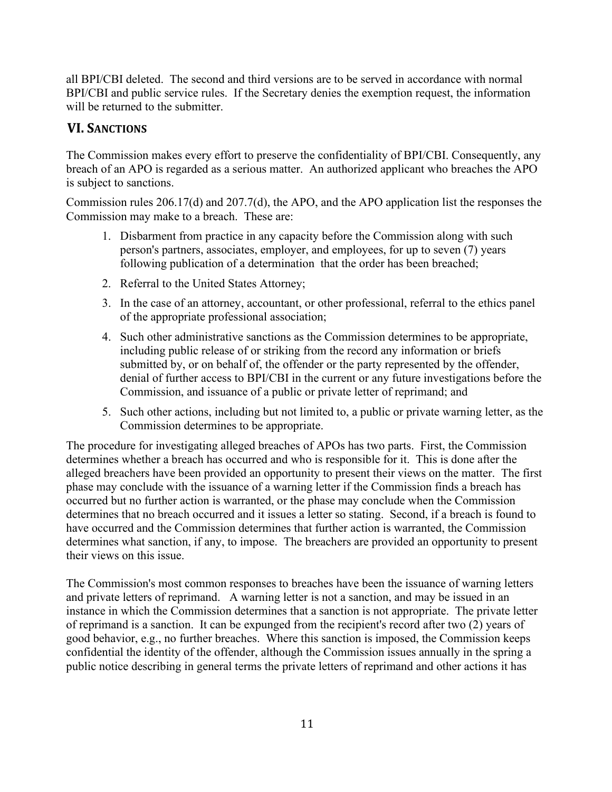all BPI/CBI deleted. The second and third versions are to be served in accordance with normal BPI/CBI and public service rules. If the Secretary denies the exemption request, the information will be returned to the submitter.

# <span id="page-11-0"></span>**VI. SANCTIONS**

The Commission makes every effort to preserve the confidentiality of BPI/CBI. Consequently, any breach of an APO is regarded as a serious matter. An authorized applicant who breaches the APO is subject to sanctions.

Commission rules 206.17(d) and 207.7(d), the APO, and the APO application list the responses the Commission may make to a breach. These are:

- 1. Disbarment from practice in any capacity before the Commission along with such person's partners, associates, employer, and employees, for up to seven (7) years following publication of a determination that the order has been breached;
- 2. Referral to the United States Attorney;
- 3. In the case of an attorney, accountant, or other professional, referral to the ethics panel of the appropriate professional association;
- 4. Such other administrative sanctions as the Commission determines to be appropriate, including public release of or striking from the record any information or briefs submitted by, or on behalf of, the offender or the party represented by the offender, denial of further access to BPI/CBI in the current or any future investigations before the Commission, and issuance of a public or private letter of reprimand; and
- 5. Such other actions, including but not limited to, a public or private warning letter, as the Commission determines to be appropriate.

The procedure for investigating alleged breaches of APOs has two parts. First, the Commission determines whether a breach has occurred and who is responsible for it. This is done after the alleged breachers have been provided an opportunity to present their views on the matter. The first phase may conclude with the issuance of a warning letter if the Commission finds a breach has occurred but no further action is warranted, or the phase may conclude when the Commission determines that no breach occurred and it issues a letter so stating. Second, if a breach is found to have occurred and the Commission determines that further action is warranted, the Commission determines what sanction, if any, to impose. The breachers are provided an opportunity to present their views on this issue.

The Commission's most common responses to breaches have been the issuance of warning letters and private letters of reprimand. A warning letter is not a sanction, and may be issued in an instance in which the Commission determines that a sanction is not appropriate. The private letter of reprimand is a sanction. It can be expunged from the recipient's record after two (2) years of good behavior, e.g., no further breaches. Where this sanction is imposed, the Commission keeps confidential the identity of the offender, although the Commission issues annually in the spring a public notice describing in general terms the private letters of reprimand and other actions it has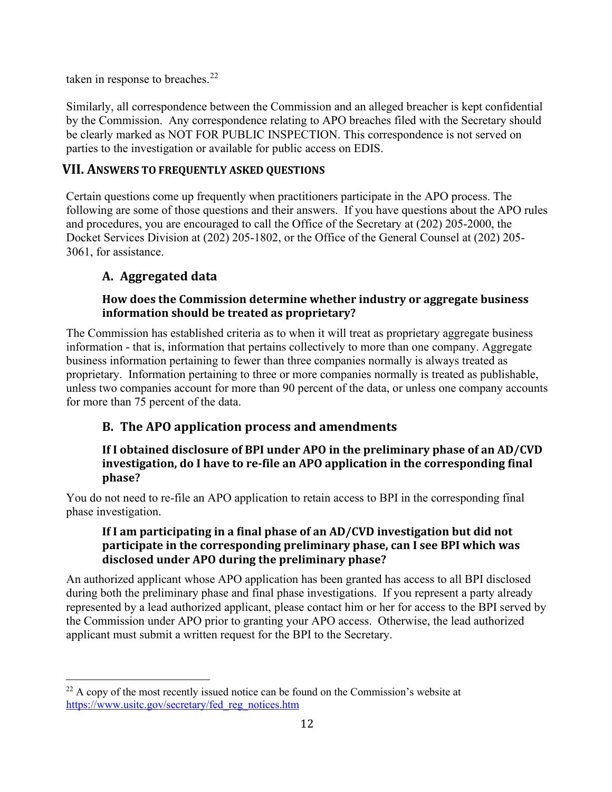taken in response to breaches.<sup>[22](#page-12-3)</sup>

Similarly, all correspondence between the Commission and an alleged breacher is kept confidential by the Commission. Any correspondence relating to APO breaches filed with the Secretary should be clearly marked as NOT FOR PUBLIC INSPECTION. This correspondence is not served on parties to the investigation or available for public access on EDIS.

## <span id="page-12-0"></span>**VII. ANSWERS TO FREQUENTLY ASKED QUESTIONS**

Certain questions come up frequently when practitioners participate in the APO process. The following are some of those questions and their answers. If you have questions about the APO rules and procedures, you are encouraged to call the Office of the Secretary at (202) 205-2000, the Docket Services Division at (202) 205-1802, or the Office of the General Counsel at (202) 205- 3061, for assistance.

## <span id="page-12-1"></span>**A. Aggregated data**

## **How does the Commission determine whether industry or aggregate business information should be treated as proprietary?**

The Commission has established criteria as to when it will treat as proprietary aggregate business information - that is, information that pertains collectively to more than one company. Aggregate business information pertaining to fewer than three companies normally is always treated as proprietary. Information pertaining to three or more companies normally is treated as publishable, unless two companies account for more than 90 percent of the data, or unless one company accounts for more than 75 percent of the data.

## <span id="page-12-2"></span>**B. The APO application process and amendments**

## **If I obtained disclosure of BPI under APO in the preliminary phase of an AD/CVD investigation, do I have to re-file an APO application in the corresponding final phase?**

You do not need to re-file an APO application to retain access to BPI in the corresponding final phase investigation.

## **If I am participating in a final phase of an AD/CVD investigation but did not participate in the corresponding preliminary phase, can I see BPI which was disclosed under APO during the preliminary phase?**

An authorized applicant whose APO application has been granted has access to all BPI disclosed during both the preliminary phase and final phase investigations. If you represent a party already represented by a lead authorized applicant, please contact him or her for access to the BPI served by the Commission under APO prior to granting your APO access. Otherwise, the lead authorized applicant must submit a written request for the BPI to the Secretary.

<span id="page-12-3"></span> $22$  A copy of the most recently issued notice can be found on the Commission's website at [https://www.usitc.gov/secretary/fed\\_reg\\_notices.htm](https://www.usitc.gov/secretary/fed_reg_notices.htm)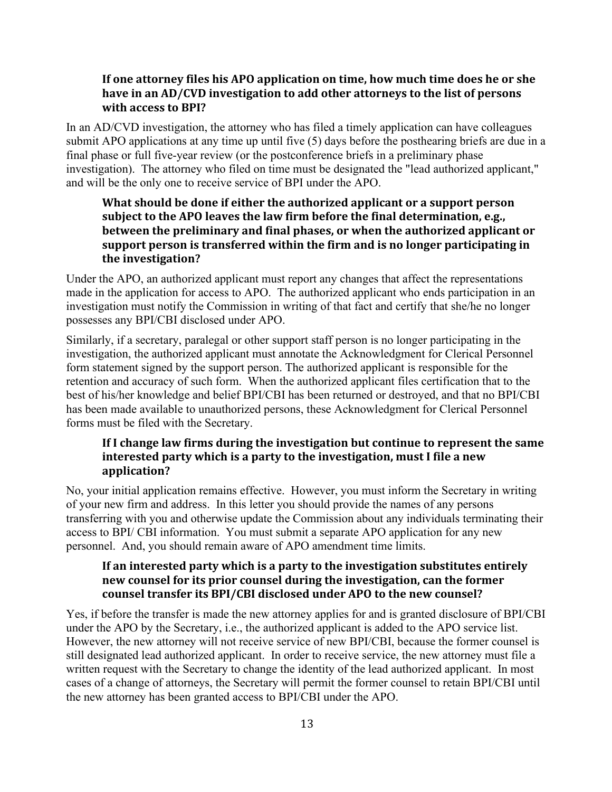#### **If one attorney files his APO application on time, how much time does he or she have in an AD/CVD investigation to add other attorneys to the list of persons with access to BPI?**

In an AD/CVD investigation, the attorney who has filed a timely application can have colleagues submit APO applications at any time up until five (5) days before the posthearing briefs are due in a final phase or full five-year review (or the postconference briefs in a preliminary phase investigation). The attorney who filed on time must be designated the "lead authorized applicant," and will be the only one to receive service of BPI under the APO.

## **What should be done if either the authorized applicant or a support person subject to the APO leaves the law firm before the final determination, e.g., between the preliminary and final phases, or when the authorized applicant or support person is transferred within the firm and is no longer participating in the investigation?**

Under the APO, an authorized applicant must report any changes that affect the representations made in the application for access to APO. The authorized applicant who ends participation in an investigation must notify the Commission in writing of that fact and certify that she/he no longer possesses any BPI/CBI disclosed under APO.

Similarly, if a secretary, paralegal or other support staff person is no longer participating in the investigation, the authorized applicant must annotate the Acknowledgment for Clerical Personnel form statement signed by the support person. The authorized applicant is responsible for the retention and accuracy of such form. When the authorized applicant files certification that to the best of his/her knowledge and belief BPI/CBI has been returned or destroyed, and that no BPI/CBI has been made available to unauthorized persons, these Acknowledgment for Clerical Personnel forms must be filed with the Secretary.

#### **If I change law firms during the investigation but continue to represent the same interested party which is a party to the investigation, must I file a new application?**

No, your initial application remains effective. However, you must inform the Secretary in writing of your new firm and address. In this letter you should provide the names of any persons transferring with you and otherwise update the Commission about any individuals terminating their access to BPI/ CBI information. You must submit a separate APO application for any new personnel. And, you should remain aware of APO amendment time limits.

## **If an interested party which is a party to the investigation substitutes entirely new counsel for its prior counsel during the investigation, can the former counsel transfer its BPI/CBI disclosed under APO to the new counsel?**

Yes, if before the transfer is made the new attorney applies for and is granted disclosure of BPI/CBI under the APO by the Secretary, i.e., the authorized applicant is added to the APO service list. However, the new attorney will not receive service of new BPI/CBI, because the former counsel is still designated lead authorized applicant. In order to receive service, the new attorney must file a written request with the Secretary to change the identity of the lead authorized applicant. In most cases of a change of attorneys, the Secretary will permit the former counsel to retain BPI/CBI until the new attorney has been granted access to BPI/CBI under the APO.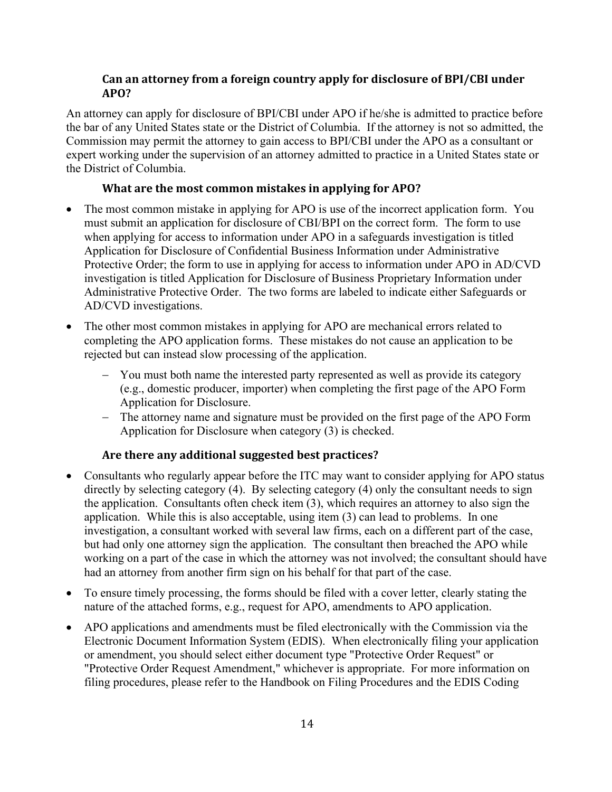## **Can an attorney from a foreign country apply for disclosure of BPI/CBI under APO?**

An attorney can apply for disclosure of BPI/CBI under APO if he/she is admitted to practice before the bar of any United States state or the District of Columbia. If the attorney is not so admitted, the Commission may permit the attorney to gain access to BPI/CBI under the APO as a consultant or expert working under the supervision of an attorney admitted to practice in a United States state or the District of Columbia.

## **What are the most common mistakes in applying for APO?**

- The most common mistake in applying for APO is use of the incorrect application form. You must submit an application for disclosure of CBI/BPI on the correct form. The form to use when applying for access to information under APO in a safeguards investigation is titled Application for Disclosure of Confidential Business Information under Administrative Protective Order; the form to use in applying for access to information under APO in AD/CVD investigation is titled Application for Disclosure of Business Proprietary Information under Administrative Protective Order. The two forms are labeled to indicate either Safeguards or AD/CVD investigations.
- The other most common mistakes in applying for APO are mechanical errors related to completing the APO application forms. These mistakes do not cause an application to be rejected but can instead slow processing of the application.
	- − You must both name the interested party represented as well as provide its category (e.g., domestic producer, importer) when completing the first page of the APO Form Application for Disclosure.
	- − The attorney name and signature must be provided on the first page of the APO Form Application for Disclosure when category (3) is checked.

## **Are there any additional suggested best practices?**

- Consultants who regularly appear before the ITC may want to consider applying for APO status directly by selecting category (4). By selecting category (4) only the consultant needs to sign the application. Consultants often check item (3), which requires an attorney to also sign the application. While this is also acceptable, using item (3) can lead to problems. In one investigation, a consultant worked with several law firms, each on a different part of the case, but had only one attorney sign the application. The consultant then breached the APO while working on a part of the case in which the attorney was not involved; the consultant should have had an attorney from another firm sign on his behalf for that part of the case.
- To ensure timely processing, the forms should be filed with a cover letter, clearly stating the nature of the attached forms, e.g., request for APO, amendments to APO application.
- APO applications and amendments must be filed electronically with the Commission via the Electronic Document Information System (EDIS). When electronically filing your application or amendment, you should select either document type "Protective Order Request" or "Protective Order Request Amendment," whichever is appropriate. For more information on filing procedures, please refer to the Handbook on Filing Procedures and the EDIS Coding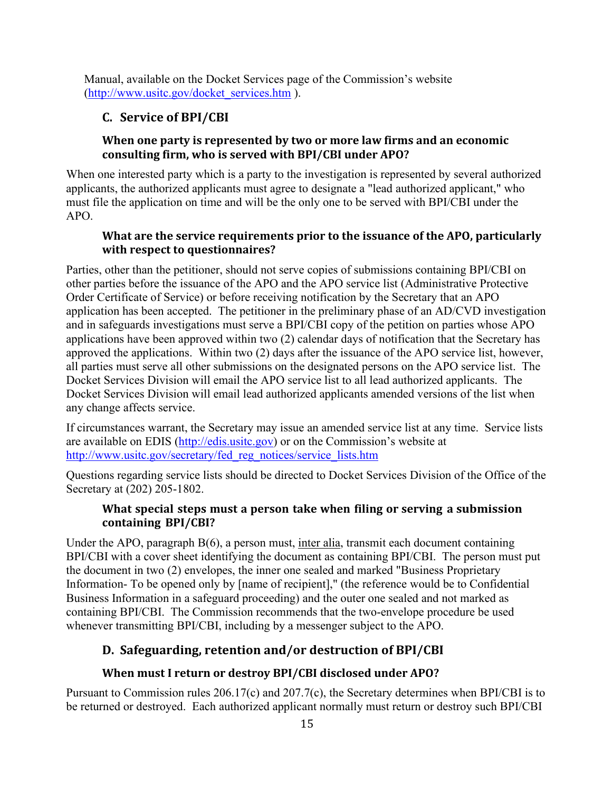<span id="page-15-0"></span>Manual, available on the Docket Services page of the Commission's website [\(http://www.usitc.gov/docket\\_services.htm](http://www.usitc.gov/docket_services.htm) ).

## **C. Service of BPI/CBI**

## **When one party is represented by two or more law firms and an economic consulting firm, who is served with BPI/CBI under APO?**

When one interested party which is a party to the investigation is represented by several authorized applicants, the authorized applicants must agree to designate a "lead authorized applicant," who must file the application on time and will be the only one to be served with BPI/CBI under the APO.

## **What are the service requirements prior to the issuance of the APO, particularly with respect to questionnaires?**

Parties, other than the petitioner, should not serve copies of submissions containing BPI/CBI on other parties before the issuance of the APO and the APO service list (Administrative Protective Order Certificate of Service) or before receiving notification by the Secretary that an APO application has been accepted. The petitioner in the preliminary phase of an AD/CVD investigation and in safeguards investigations must serve a BPI/CBI copy of the petition on parties whose APO applications have been approved within two (2) calendar days of notification that the Secretary has approved the applications. Within two (2) days after the issuance of the APO service list, however, all parties must serve all other submissions on the designated persons on the APO service list. The Docket Services Division will email the APO service list to all lead authorized applicants. The Docket Services Division will email lead authorized applicants amended versions of the list when any change affects service.

If circumstances warrant, the Secretary may issue an amended service list at any time. Service lists are available on EDIS [\(http://edis.usitc.gov\)](http://edis.usitc.gov/) or on the Commission's website at [http://www.usitc.gov/secretary/fed\\_reg\\_notices/service\\_lists.htm](http://www.usitc.gov/secretary/fed_reg_notices/service_lists.htm)

Questions regarding service lists should be directed to Docket Services Division of the Office of the Secretary at (202) 205-1802.

## **What special steps must a person take when filing or serving a submission containing BPI/CBI?**

Under the APO, paragraph B(6), a person must, inter alia, transmit each document containing BPI/CBI with a cover sheet identifying the document as containing BPI/CBI. The person must put the document in two (2) envelopes, the inner one sealed and marked "Business Proprietary Information- To be opened only by [name of recipient]," (the reference would be to Confidential Business Information in a safeguard proceeding) and the outer one sealed and not marked as containing BPI/CBI. The Commission recommends that the two-envelope procedure be used whenever transmitting BPI/CBI, including by a messenger subject to the APO.

# <span id="page-15-1"></span>**D. Safeguarding, retention and/or destruction of BPI/CBI**

## **When must I return or destroy BPI/CBI disclosed under APO?**

Pursuant to Commission rules 206.17(c) and 207.7(c), the Secretary determines when BPI/CBI is to be returned or destroyed. Each authorized applicant normally must return or destroy such BPI/CBI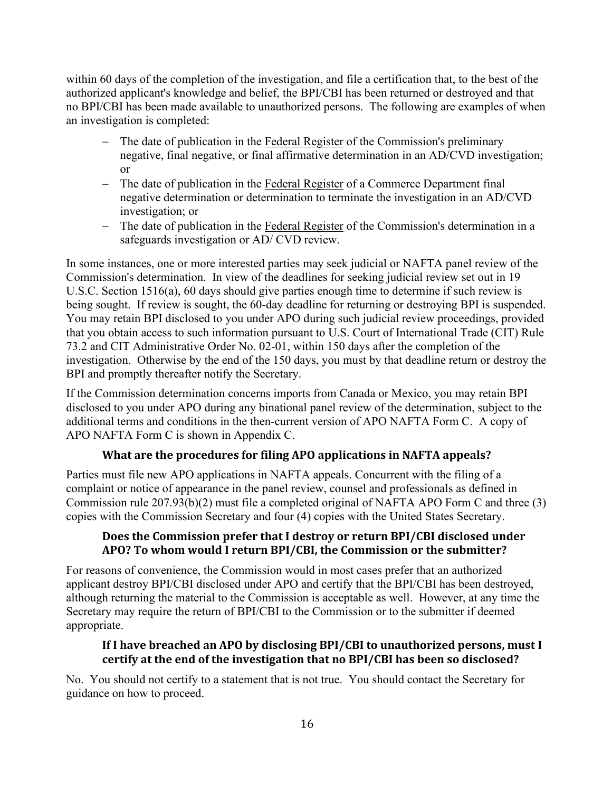within 60 days of the completion of the investigation, and file a certification that, to the best of the authorized applicant's knowledge and belief, the BPI/CBI has been returned or destroyed and that no BPI/CBI has been made available to unauthorized persons. The following are examples of when an investigation is completed:

- The date of publication in the Federal Register of the Commission's preliminary negative, final negative, or final affirmative determination in an AD/CVD investigation; or
- − The date of publication in the Federal Register of a Commerce Department final negative determination or determination to terminate the investigation in an AD/CVD investigation; or
- − The date of publication in the Federal Register of the Commission's determination in a safeguards investigation or AD/ CVD review.

In some instances, one or more interested parties may seek judicial or NAFTA panel review of the Commission's determination. In view of the deadlines for seeking judicial review set out in 19 U.S.C. Section 1516(a), 60 days should give parties enough time to determine if such review is being sought. If review is sought, the 60-day deadline for returning or destroying BPI is suspended. You may retain BPI disclosed to you under APO during such judicial review proceedings, provided that you obtain access to such information pursuant to U.S. Court of International Trade (CIT) Rule 73.2 and CIT Administrative Order No. 02-01, within 150 days after the completion of the investigation. Otherwise by the end of the 150 days, you must by that deadline return or destroy the BPI and promptly thereafter notify the Secretary.

If the Commission determination concerns imports from Canada or Mexico, you may retain BPI disclosed to you under APO during any binational panel review of the determination, subject to the additional terms and conditions in the then-current version of APO NAFTA Form C. A copy of APO NAFTA Form C is shown in Appendix C.

## **What are the procedures for filing APO applications in NAFTA appeals?**

Parties must file new APO applications in NAFTA appeals. Concurrent with the filing of a complaint or notice of appearance in the panel review, counsel and professionals as defined in Commission rule 207.93(b)(2) must file a completed original of NAFTA APO Form C and three (3) copies with the Commission Secretary and four (4) copies with the United States Secretary.

#### **Does the Commission prefer that I destroy or return BPI/CBI disclosed under APO? To whom would I return BPI/CBI, the Commission or the submitter?**

For reasons of convenience, the Commission would in most cases prefer that an authorized applicant destroy BPI/CBI disclosed under APO and certify that the BPI/CBI has been destroyed, although returning the material to the Commission is acceptable as well. However, at any time the Secretary may require the return of BPI/CBI to the Commission or to the submitter if deemed appropriate.

#### **If I have breached an APO by disclosing BPI/CBI to unauthorized persons, must I certify at the end of the investigation that no BPI/CBI has been so disclosed?**

No. You should not certify to a statement that is not true. You should contact the Secretary for guidance on how to proceed.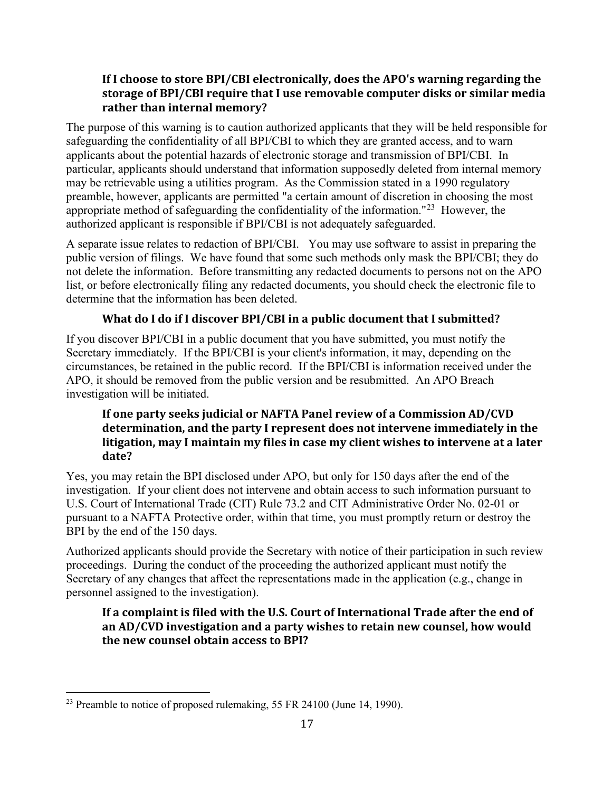## **If I choose to store BPI/CBI electronically, does the APO's warning regarding the storage of BPI/CBI require that I use removable computer disks or similar media rather than internal memory?**

The purpose of this warning is to caution authorized applicants that they will be held responsible for safeguarding the confidentiality of all BPI/CBI to which they are granted access, and to warn applicants about the potential hazards of electronic storage and transmission of BPI/CBI. In particular, applicants should understand that information supposedly deleted from internal memory may be retrievable using a utilities program. As the Commission stated in a 1990 regulatory preamble, however, applicants are permitted "a certain amount of discretion in choosing the most appropriate method of safeguarding the confidentiality of the information."<sup>[23](#page-17-0)</sup> However, the authorized applicant is responsible if BPI/CBI is not adequately safeguarded.

A separate issue relates to redaction of BPI/CBI. You may use software to assist in preparing the public version of filings. We have found that some such methods only mask the BPI/CBI; they do not delete the information. Before transmitting any redacted documents to persons not on the APO list, or before electronically filing any redacted documents, you should check the electronic file to determine that the information has been deleted.

## **What do I do if I discover BPI/CBI in a public document that I submitted?**

If you discover BPI/CBI in a public document that you have submitted, you must notify the Secretary immediately. If the BPI/CBI is your client's information, it may, depending on the circumstances, be retained in the public record. If the BPI/CBI is information received under the APO, it should be removed from the public version and be resubmitted. An APO Breach investigation will be initiated.

## **If one party seeks judicial or NAFTA Panel review of a Commission AD/CVD determination, and the party I represent does not intervene immediately in the litigation, may I maintain my files in case my client wishes to intervene at a later date?**

Yes, you may retain the BPI disclosed under APO, but only for 150 days after the end of the investigation. If your client does not intervene and obtain access to such information pursuant to U.S. Court of International Trade (CIT) Rule 73.2 and CIT Administrative Order No. 02-01 or pursuant to a NAFTA Protective order, within that time, you must promptly return or destroy the BPI by the end of the 150 days.

Authorized applicants should provide the Secretary with notice of their participation in such review proceedings. During the conduct of the proceeding the authorized applicant must notify the Secretary of any changes that affect the representations made in the application (e.g., change in personnel assigned to the investigation).

## **If a complaint is filed with the U.S. Court of International Trade after the end of an AD/CVD investigation and a party wishes to retain new counsel, how would the new counsel obtain access to BPI?**

<span id="page-17-0"></span><sup>&</sup>lt;sup>23</sup> Preamble to notice of proposed rulemaking, 55 FR 24100 (June 14, 1990).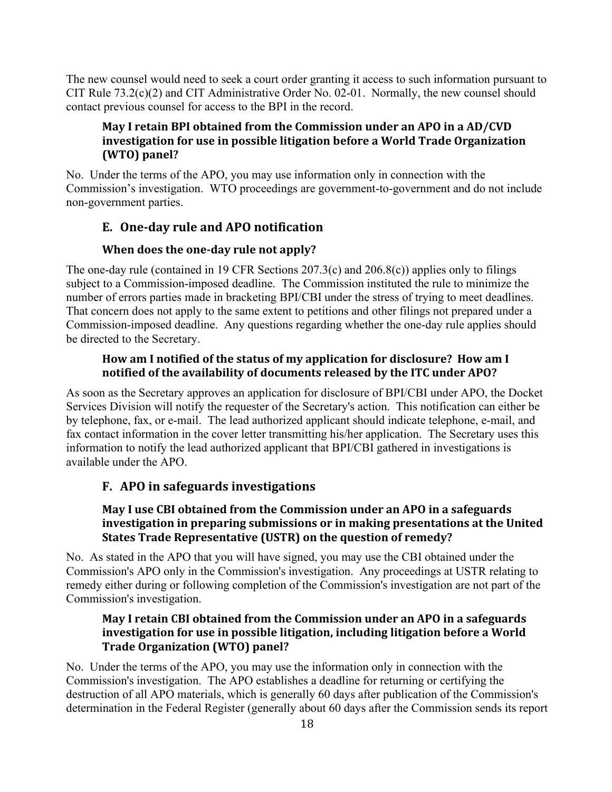The new counsel would need to seek a court order granting it access to such information pursuant to CIT Rule 73.2(c)(2) and CIT Administrative Order No. 02-01. Normally, the new counsel should contact previous counsel for access to the BPI in the record.

## **May I retain BPI obtained from the Commission under an APO in a AD/CVD investigation for use in possible litigation before a World Trade Organization (WTO) panel?**

No. Under the terms of the APO, you may use information only in connection with the Commission's investigation. WTO proceedings are government-to-government and do not include non-government parties.

## <span id="page-18-0"></span>**E. One-day rule and APO notification**

#### **When does the one-day rule not apply?**

The one-day rule (contained in 19 CFR Sections 207.3(c) and 206.8(c)) applies only to filings subject to a Commission-imposed deadline. The Commission instituted the rule to minimize the number of errors parties made in bracketing BPI/CBI under the stress of trying to meet deadlines. That concern does not apply to the same extent to petitions and other filings not prepared under a Commission-imposed deadline. Any questions regarding whether the one-day rule applies should be directed to the Secretary.

#### **How am I notified of the status of my application for disclosure? How am I notified of the availability of documents released by the ITC under APO?**

As soon as the Secretary approves an application for disclosure of BPI/CBI under APO, the Docket Services Division will notify the requester of the Secretary's action. This notification can either be by telephone, fax, or e-mail. The lead authorized applicant should indicate telephone, e-mail, and fax contact information in the cover letter transmitting his/her application. The Secretary uses this information to notify the lead authorized applicant that BPI/CBI gathered in investigations is available under the APO.

## <span id="page-18-1"></span>**F. APO in safeguards investigations**

#### **May I use CBI obtained from the Commission under an APO in a safeguards investigation in preparing submissions or in making presentations at the United States Trade Representative (USTR) on the question of remedy?**

No. As stated in the APO that you will have signed, you may use the CBI obtained under the Commission's APO only in the Commission's investigation. Any proceedings at USTR relating to remedy either during or following completion of the Commission's investigation are not part of the Commission's investigation.

#### **May I retain CBI obtained from the Commission under an APO in a safeguards investigation for use in possible litigation, including litigation before a World Trade Organization (WTO) panel?**

No. Under the terms of the APO, you may use the information only in connection with the Commission's investigation. The APO establishes a deadline for returning or certifying the destruction of all APO materials, which is generally 60 days after publication of the Commission's determination in the Federal Register (generally about 60 days after the Commission sends its report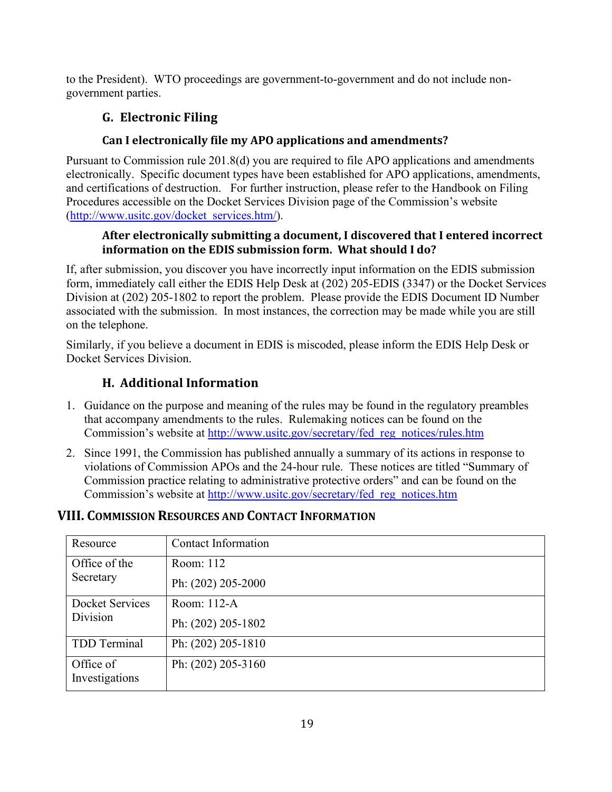<span id="page-19-0"></span>to the President). WTO proceedings are government-to-government and do not include nongovernment parties.

# **G. Electronic Filing**

## **Can I electronically file my APO applications and amendments?**

Pursuant to Commission rule 201.8(d) you are required to file APO applications and amendments electronically. Specific document types have been established for APO applications, amendments, and certifications of destruction. For further instruction, please refer to the Handbook on Filing Procedures accessible on the Docket Services Division page of the Commission's website [\(http://www.usitc.gov/docket\\_services.htm/\)](http://www.usitc.gov/docket_services.htm/).

## **After electronically submitting a document, I discovered that I entered incorrect information on the EDIS submission form. What should I do?**

If, after submission, you discover you have incorrectly input information on the EDIS submission form, immediately call either the EDIS Help Desk at (202) 205-EDIS (3347) or the Docket Services Division at (202) 205-1802 to report the problem. Please provide the EDIS Document ID Number associated with the submission. In most instances, the correction may be made while you are still on the telephone.

Similarly, if you believe a document in EDIS is miscoded, please inform the EDIS Help Desk or Docket Services Division.

# **H. Additional Information**

- <span id="page-19-1"></span>1. Guidance on the purpose and meaning of the rules may be found in the regulatory preambles that accompany amendments to the rules. Rulemaking notices can be found on the Commission's website at [http://www.usitc.gov/secretary/fed\\_reg\\_notices/rules.htm](http://www.usitc.gov/secretary/fed_reg_notices/rules.htm)
- 2. Since 1991, the Commission has published annually a summary of its actions in response to violations of Commission APOs and the 24-hour rule. These notices are titled "Summary of Commission practice relating to administrative protective orders" and can be found on the Commission's website at [http://www.usitc.gov/secretary/fed\\_reg\\_notices.htm](http://www.usitc.gov/secretary/fed_reg_notices.htm)

# <span id="page-19-2"></span>**VIII. COMMISSION RESOURCES AND CONTACT INFORMATION**

| Resource                    | <b>Contact Information</b> |  |  |
|-----------------------------|----------------------------|--|--|
| Office of the               | Room: 112                  |  |  |
| Secretary                   | Ph: (202) 205-2000         |  |  |
| Docket Services             | Room: 112-A                |  |  |
| Division                    | Ph: (202) 205-1802         |  |  |
| TDD Terminal                | Ph: (202) 205-1810         |  |  |
| Office of<br>Investigations | Ph: (202) 205-3160         |  |  |